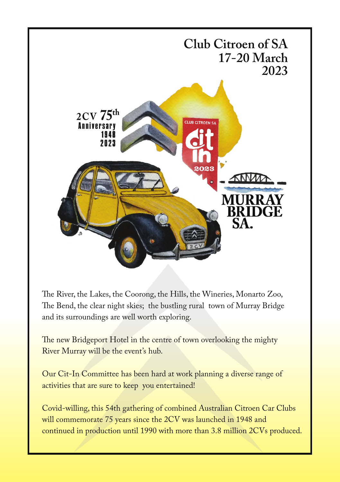

The River, the Lakes, the Coorong, the Hills, the Wineries, Monarto Zoo, The Bend, the clear night skies; the bustling rural town of Murray Bridge and its surroundings are well worth exploring.

The new Bridgeport Hotel in the centre of town overlooking the mighty River Murray will be the event's hub.

Our Cit-In Committee has been hard at work planning a diverse range of activities that are sure to keep you entertained!

Covid-willing, this 54th gathering of combined Australian Citroen Car Clubs will commemorate 75 years since the 2CV was launched in 1948 and continued in production until 1990 with more than 3.8 million 2CVs produced.